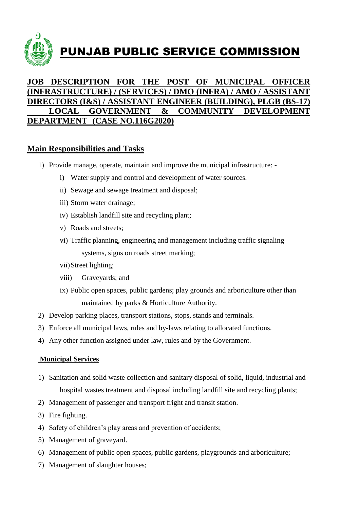

## **JOB DESCRIPTION FOR THE POST OF MUNICIPAL OFFICER (INFRASTRUCTURE) / (SERVICES) / DMO (INFRA) / AMO / ASSISTANT DIRECTORS (I&S) / ASSISTANT ENGINEER (BUILDING), PLGB (BS-17) LOCAL GOVERNMENT & COMMUNITY DEVELOPMENT DEPARTMENT (CASE NO.116G2020)**

## **Main Responsibilities and Tasks**

- 1) Provide manage, operate, maintain and improve the municipal infrastructure:
	- i) Water supply and control and development of water sources.
	- ii) Sewage and sewage treatment and disposal;
	- iii) Storm water drainage;
	- iv) Establish landfill site and recycling plant;
	- v) Roads and streets;
	- vi) Traffic planning, engineering and management including traffic signaling systems, signs on roads street marking;
	- vii)Street lighting;
	- viii) Graveyards; and
	- ix) Public open spaces, public gardens; play grounds and arboriculture other than maintained by parks & Horticulture Authority.
- 2) Develop parking places, transport stations, stops, stands and terminals.
- 3) Enforce all municipal laws, rules and by-laws relating to allocated functions.
- 4) Any other function assigned under law, rules and by the Government.

## **Municipal Services**

- 1) Sanitation and solid waste collection and sanitary disposal of solid, liquid, industrial and hospital wastes treatment and disposal including landfill site and recycling plants;
- 2) Management of passenger and transport fright and transit station.
- 3) Fire fighting.
- 4) Safety of children's play areas and prevention of accidents;
- 5) Management of graveyard.
- 6) Management of public open spaces, public gardens, playgrounds and arboriculture;
- 7) Management of slaughter houses;